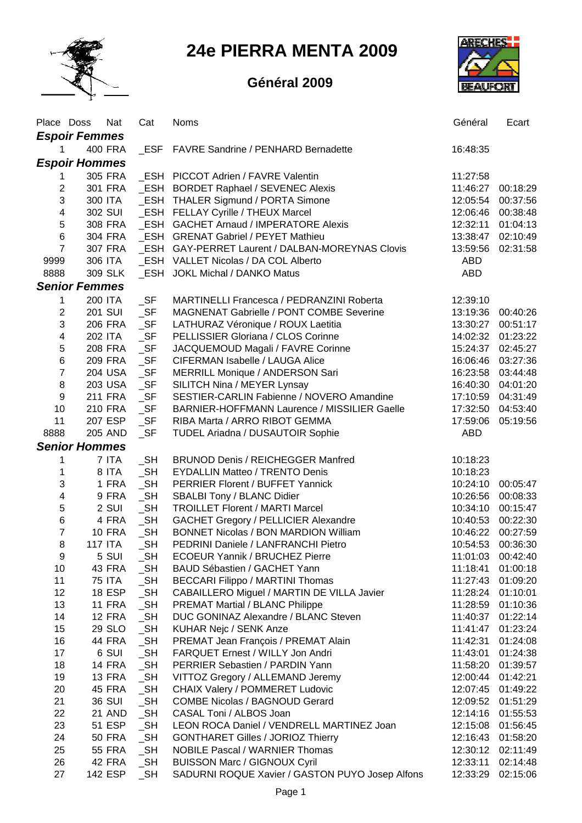

**24e PIERRA MENTA 2009**

## **Général 2009**



| <b>Espoir Femmes</b><br>FAVRE Sandrine / PENHARD Bernadette<br>400 FRA<br>ESF<br>16:48:35<br>1.<br><b>Espoir Hommes</b><br>ESH PICCOT Adrien / FAVRE Valentin<br>305 FRA<br>11:27:58<br>1<br>$\boldsymbol{2}$<br>301 FRA<br>_ESH BORDET Raphael / SEVENEC Alexis<br>11:46:27<br>$\mathsf 3$<br>_ESH THALER Sigmund / PORTA Simone<br>300 ITA<br>12:05:54<br>$\overline{\mathbf{4}}$<br>302 SUI<br>_ESH FELLAY Cyrille / THEUX Marcel<br>12:06:46 | 00:18:29<br>00:37:56<br>00:38:48<br>01:04:13<br>02:10:49<br>02:31:58 |
|--------------------------------------------------------------------------------------------------------------------------------------------------------------------------------------------------------------------------------------------------------------------------------------------------------------------------------------------------------------------------------------------------------------------------------------------------|----------------------------------------------------------------------|
|                                                                                                                                                                                                                                                                                                                                                                                                                                                  |                                                                      |
|                                                                                                                                                                                                                                                                                                                                                                                                                                                  |                                                                      |
|                                                                                                                                                                                                                                                                                                                                                                                                                                                  |                                                                      |
|                                                                                                                                                                                                                                                                                                                                                                                                                                                  |                                                                      |
|                                                                                                                                                                                                                                                                                                                                                                                                                                                  |                                                                      |
|                                                                                                                                                                                                                                                                                                                                                                                                                                                  |                                                                      |
| 5<br>_ESH GACHET Arnaud / IMPERATORE Alexis<br>308 FRA<br>12:32:11                                                                                                                                                                                                                                                                                                                                                                               |                                                                      |
| $\overline{6}$<br>304 FRA<br><b>ESH GRENAT Gabriel / PEYET Mathieu</b><br>13:38:47                                                                                                                                                                                                                                                                                                                                                               |                                                                      |
| $\overline{7}$<br>ESH GAY-PERRET Laurent / DALBAN-MOREYNAS Clovis<br>307 FRA<br>13:59:56                                                                                                                                                                                                                                                                                                                                                         |                                                                      |
| 9999<br>306 ITA<br>ESH VALLET Nicolas / DA COL Alberto<br><b>ABD</b>                                                                                                                                                                                                                                                                                                                                                                             |                                                                      |
| 8888<br>309 SLK<br>_ESH JOKL Michal / DANKO Matus<br><b>ABD</b>                                                                                                                                                                                                                                                                                                                                                                                  |                                                                      |
| <b>Senior Femmes</b>                                                                                                                                                                                                                                                                                                                                                                                                                             |                                                                      |
| $\_SF$<br>1<br>200 ITA<br>MARTINELLI Francesca / PEDRANZINI Roberta<br>12:39:10                                                                                                                                                                                                                                                                                                                                                                  |                                                                      |
| $\overline{2}$<br>$\_SF$<br><b>201 SUI</b><br>MAGNENAT Gabrielle / PONT COMBE Severine<br>13:19:36                                                                                                                                                                                                                                                                                                                                               | 00:40:26                                                             |
| 3<br>$\_SF$<br>206 FRA<br>LATHURAZ Véronique / ROUX Laetitia<br>13:30:27                                                                                                                                                                                                                                                                                                                                                                         | 00:51:17                                                             |
| $\overline{\mathbf{4}}$<br>$\_SF$<br>PELLISSIER Gloriana / CLOS Corinne<br>202 ITA<br>14:02:32                                                                                                                                                                                                                                                                                                                                                   | 01:23:22                                                             |
| 5<br>$\_SF$<br>208 FRA<br>JACQUEMOUD Magali / FAVRE Corinne<br>15:24:37                                                                                                                                                                                                                                                                                                                                                                          | 02:45:27                                                             |
| $\,$ 6 $\,$<br>$\_SF$<br>209 FRA<br>CIFERMAN Isabelle / LAUGA Alice<br>16:06:46                                                                                                                                                                                                                                                                                                                                                                  | 03:27:36                                                             |
| $\overline{7}$<br>$\_SF$<br><b>204 USA</b><br>MERRILL Monique / ANDERSON Sari<br>16:23:58                                                                                                                                                                                                                                                                                                                                                        | 03:44:48                                                             |
| $\, 8$<br>$\_SF$<br><b>203 USA</b><br>SILITCH Nina / MEYER Lynsay<br>16:40:30                                                                                                                                                                                                                                                                                                                                                                    | 04:01:20                                                             |
| $\boldsymbol{9}$<br>$\_SF$<br><b>211 FRA</b><br>SESTIER-CARLIN Fabienne / NOVERO Amandine<br>17:10:59                                                                                                                                                                                                                                                                                                                                            | 04:31:49                                                             |
| $\_SF$<br>10<br>BARNIER-HOFFMANN Laurence / MISSILIER Gaelle<br><b>210 FRA</b><br>17:32:50                                                                                                                                                                                                                                                                                                                                                       | 04:53:40                                                             |
| $\_SF$<br>11<br>207 ESP<br>RIBA Marta / ARRO RIBOT GEMMA<br>17:59:06                                                                                                                                                                                                                                                                                                                                                                             | 05:19:56                                                             |
| 8888<br><b>205 AND</b><br>$\_SF$<br><b>ABD</b><br>TUDEL Ariadna / DUSAUTOIR Sophie                                                                                                                                                                                                                                                                                                                                                               |                                                                      |
| <b>Senior Hommes</b>                                                                                                                                                                                                                                                                                                                                                                                                                             |                                                                      |
| $\_SH$<br>7 ITA<br><b>BRUNOD Denis / REICHEGGER Manfred</b><br>10:18:23<br>1                                                                                                                                                                                                                                                                                                                                                                     |                                                                      |
| 1<br>$\_SH$<br>8 ITA<br><b>EYDALLIN Matteo / TRENTO Denis</b><br>10:18:23                                                                                                                                                                                                                                                                                                                                                                        |                                                                      |
| 3<br>1 FRA<br>$\_SH$<br>PERRIER Florent / BUFFET Yannick<br>10:24:10                                                                                                                                                                                                                                                                                                                                                                             | 00:05:47                                                             |
| 4<br>$\_SH$<br>9 FRA<br>SBALBI Tony / BLANC Didier<br>10:26:56                                                                                                                                                                                                                                                                                                                                                                                   | 00:08:33                                                             |
| 5<br>2 SUI<br>$\_SH$<br><b>TROILLET Florent / MARTI Marcel</b><br>10:34:10                                                                                                                                                                                                                                                                                                                                                                       | 00:15:47                                                             |
| $\,6$<br>$\_SH$<br>4 FRA<br><b>GACHET Gregory / PELLICIER Alexandre</b><br>10:40:53                                                                                                                                                                                                                                                                                                                                                              | 00:22:30                                                             |
| 7<br>$\_SH$<br><b>10 FRA</b><br><b>BONNET Nicolas / BON MARDION William</b><br>10:46:22                                                                                                                                                                                                                                                                                                                                                          | 00:27:59                                                             |
| 8<br>$\_SH$<br><b>117 ITA</b><br>PEDRINI Daniele / LANFRANCHI Pietro<br>10:54:53                                                                                                                                                                                                                                                                                                                                                                 | 00:36:30                                                             |
| $\_SH$<br>5 SUI<br><b>ECOEUR Yannik / BRUCHEZ Pierre</b><br>9<br>11:01:03                                                                                                                                                                                                                                                                                                                                                                        | 00:42:40                                                             |
| $\_SH$<br>10<br>43 FRA<br>BAUD Sébastien / GACHET Yann<br>11:18:41                                                                                                                                                                                                                                                                                                                                                                               | 01:00:18                                                             |
| 11<br>$\_SH$<br><b>75 ITA</b><br><b>BECCARI Filippo / MARTINI Thomas</b><br>11:27:43                                                                                                                                                                                                                                                                                                                                                             | 01:09:20                                                             |
| 12<br>$\_SH$<br><b>18 ESP</b><br>CABAILLERO Miguel / MARTIN DE VILLA Javier<br>11:28:24                                                                                                                                                                                                                                                                                                                                                          | 01:10:01                                                             |
| 13<br>$\_SH$<br><b>11 FRA</b><br><b>PREMAT Martial / BLANC Philippe</b><br>11:28:59                                                                                                                                                                                                                                                                                                                                                              | 01:10:36                                                             |
| 14<br>$\_SH$<br><b>12 FRA</b><br>DUC GONINAZ Alexandre / BLANC Steven<br>11:40:37                                                                                                                                                                                                                                                                                                                                                                | 01:22:14                                                             |
| $\_SH$<br>15<br>29 SLO<br>11:41:47<br>KUHAR Nejc / SENK Anze                                                                                                                                                                                                                                                                                                                                                                                     | 01:23:24                                                             |
| 16<br><b>44 FRA</b><br>$\_SH$<br>PREMAT Jean François / PREMAT Alain<br>11:42:31                                                                                                                                                                                                                                                                                                                                                                 | 01:24:08                                                             |
| 17<br>6 SUI<br>$\_SH$<br>FARQUET Ernest / WILLY Jon Andri<br>11:43:01                                                                                                                                                                                                                                                                                                                                                                            | 01:24:38                                                             |
| 18<br><b>14 FRA</b><br>$\_SH$<br>PERRIER Sebastien / PARDIN Yann<br>11:58:20                                                                                                                                                                                                                                                                                                                                                                     | 01:39:57                                                             |
| 19<br><b>13 FRA</b><br>$\_SH$<br>VITTOZ Gregory / ALLEMAND Jeremy<br>12:00:44                                                                                                                                                                                                                                                                                                                                                                    | 01:42:21                                                             |
| 20<br>$\_SH$<br>CHAIX Valery / POMMERET Ludovic<br>45 FRA<br>12:07:45                                                                                                                                                                                                                                                                                                                                                                            | 01:49:22                                                             |
| $\_SH$<br>21<br>36 SUI<br><b>COMBE Nicolas / BAGNOUD Gerard</b><br>12:09:52                                                                                                                                                                                                                                                                                                                                                                      | 01:51:29                                                             |
| $\_SH$<br>22<br>21 AND<br>CASAL Toni / ALBOS Joan<br>12:14:16                                                                                                                                                                                                                                                                                                                                                                                    | 01:55:53                                                             |
| $\_SH$<br>23<br>51 ESP<br>LEON ROCA Daniel / VENDRELL MARTINEZ Joan<br>12:15:08                                                                                                                                                                                                                                                                                                                                                                  | 01:56:45                                                             |
| $\_SH$<br>24<br><b>50 FRA</b><br><b>GONTHARET Gilles / JORIOZ Thierry</b><br>12:16:43                                                                                                                                                                                                                                                                                                                                                            | 01:58:20                                                             |
| $\_SH$<br>25<br><b>NOBILE Pascal / WARNIER Thomas</b><br><b>55 FRA</b><br>12:30:12<br>$\_SH$<br>26<br>42 FRA<br><b>BUISSON Marc / GIGNOUX Cyril</b><br>12:33:11                                                                                                                                                                                                                                                                                  | 02:11:49<br>02:14:48                                                 |
| 27<br>142 ESP<br>$\_SH$<br>SADURNI ROQUE Xavier / GASTON PUYO Josep Alfons<br>12:33:29                                                                                                                                                                                                                                                                                                                                                           | 02:15:06                                                             |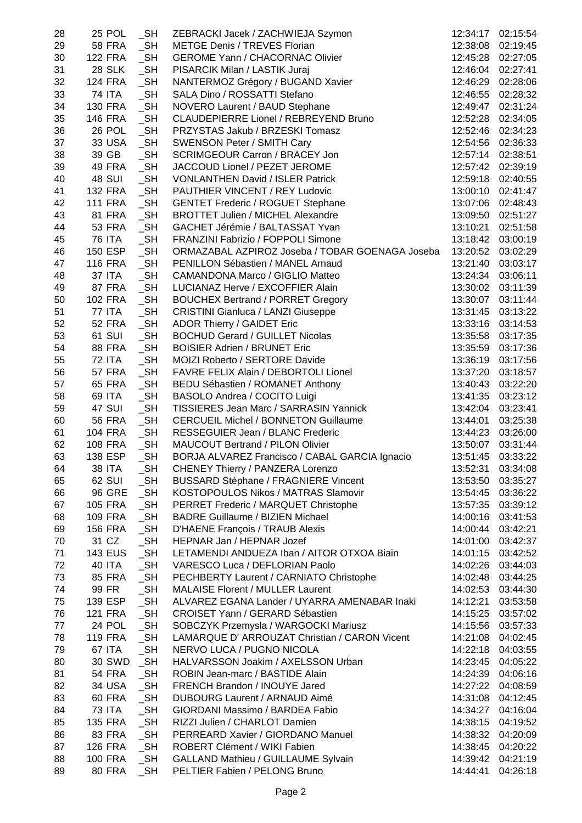| 28 | <b>25 POL</b>  | $\_SH$ | ZEBRACKI Jacek / ZACHWIEJA Szymon               | 12:34:17          | 02:15:54          |
|----|----------------|--------|-------------------------------------------------|-------------------|-------------------|
| 29 | <b>58 FRA</b>  | $\_SH$ | <b>METGE Denis / TREVES Florian</b>             | 12:38:08          | 02:19:45          |
| 30 | <b>122 FRA</b> | $\_SH$ | <b>GEROME Yann / CHACORNAC Olivier</b>          | 12:45:28          | 02:27:05          |
| 31 | <b>28 SLK</b>  | $\_SH$ | PISARCIK Milan / LASTIK Juraj                   | 12:46:04          | 02:27:41          |
| 32 | <b>124 FRA</b> | $\_SH$ | NANTERMOZ Grégory / BUGAND Xavier               |                   | 12:46:29 02:28:06 |
| 33 | 74 ITA         | $\_SH$ | SALA Dino / ROSSATTI Stefano                    | 12:46:55 02:28:32 |                   |
| 34 | <b>130 FRA</b> | $\_SH$ | NOVERO Laurent / BAUD Stephane                  | 12:49:47          | 02:31:24          |
| 35 | <b>146 FRA</b> | $\_SH$ | CLAUDEPIERRE Lionel / REBREYEND Bruno           | 12:52:28          | 02:34:05          |
| 36 | 26 POL         | $\_SH$ | PRZYSTAS Jakub / BRZESKI Tomasz                 | 12:52:46 02:34:23 |                   |
| 37 | <b>33 USA</b>  | $\_SH$ | <b>SWENSON Peter / SMITH Cary</b>               | 12:54:56 02:36:33 |                   |
| 38 | 39 GB          | $\_SH$ | <b>SCRIMGEOUR Carron / BRACEY Jon</b>           | 12:57:14 02:38:51 |                   |
| 39 | 49 FRA         | $\_SH$ | JACCOUD Lionel / PEZET JEROME                   | 12:57:42 02:39:19 |                   |
| 40 | <b>48 SUI</b>  | $\_SH$ | <b>VONLANTHEN David / ISLER Patrick</b>         | 12:59:18 02:40:55 |                   |
| 41 | <b>132 FRA</b> | $\_SH$ | PAUTHIER VINCENT / REY Ludovic                  | 13:00:10 02:41:47 |                   |
| 42 | <b>111 FRA</b> | $\_SH$ | <b>GENTET Frederic / ROGUET Stephane</b>        | 13:07:06 02:48:43 |                   |
| 43 | <b>81 FRA</b>  | $\_SH$ | <b>BROTTET Julien / MICHEL Alexandre</b>        | 13:09:50 02:51:27 |                   |
| 44 | <b>53 FRA</b>  | $\_SH$ | GACHET Jérémie / BALTASSAT Yvan                 | 13:10:21          | 02:51:58          |
| 45 | <b>76 ITA</b>  | $\_SH$ | FRANZINI Fabrizio / FOPPOLI Simone              | 13:18:42 03:00:19 |                   |
| 46 | 150 ESP        | $\_SH$ | ORMAZABAL AZPIROZ Joseba / TOBAR GOENAGA Joseba |                   | 13:20:52 03:02:29 |
| 47 | <b>116 FRA</b> | $\_SH$ | PENILLON Sébastien / MANEL Arnaud               | 13:21:40          | 03:03:17          |
| 48 | <b>37 ITA</b>  | $\_SH$ | <b>CAMANDONA Marco / GIGLIO Matteo</b>          | 13:24:34          | 03:06:11          |
| 49 | 87 FRA         | $\_SH$ | LUCIANAZ Herve / EXCOFFIER Alain                | 13:30:02          | 03:11:39          |
| 50 | <b>102 FRA</b> | $\_SH$ | <b>BOUCHEX Bertrand / PORRET Gregory</b>        | 13:30:07          | 03:11:44          |
| 51 | <b>77 ITA</b>  | $\_SH$ | <b>CRISTINI Gianluca / LANZI Giuseppe</b>       | 13:31:45          | 03:13:22          |
| 52 | <b>52 FRA</b>  | $\_SH$ | <b>ADOR Thierry / GAIDET Eric</b>               | 13:33:16          | 03:14:53          |
| 53 | <b>61 SUI</b>  | $\_SH$ | <b>BOCHUD Gerard / GUILLET Nicolas</b>          | 13:35:58          | 03:17:35          |
|    | <b>88 FRA</b>  | $\_SH$ | <b>BOISIER Adrien / BRUNET Eric</b>             |                   |                   |
| 54 | <b>72 ITA</b>  | $\_SH$ |                                                 | 13:35:59          | 03:17:36          |
| 55 |                |        | MOIZI Roberto / SERTORE Davide                  | 13:36:19          | 03:17:56          |
| 56 | <b>57 FRA</b>  | $\_SH$ | FAVRE FELIX Alain / DEBORTOLI Lionel            |                   | 13:37:20 03:18:57 |
| 57 | <b>65 FRA</b>  | $\_SH$ | BEDU Sébastien / ROMANET Anthony                | 13:40:43 03:22:20 |                   |
| 58 | 69 ITA         | $\_SH$ | BASOLO Andrea / COCITO Luigi                    | 13:41:35 03:23:12 |                   |
| 59 | 47 SUI         | $\_SH$ | TISSIERES Jean Marc / SARRASIN Yannick          | 13:42:04          | 03:23:41          |
| 60 | <b>56 FRA</b>  | $\_SH$ | <b>CERCUEIL Michel / BONNETON Guillaume</b>     | 13:44:01          | 03:25:38          |
| 61 | <b>104 FRA</b> | $\_SH$ | RESSEGUIER Jean / BLANC Frederic                | 13:44:23 03:26:00 |                   |
| 62 | <b>108 FRA</b> | $\_SH$ | MAUCOUT Bertrand / PILON Olivier                |                   | 13:50:07 03:31:44 |
| 63 | 138 ESP        | $\_SH$ | BORJA ALVAREZ Francisco / CABAL GARCIA Ignacio  | 13:51:45          | 03:33:22          |
| 64 | <b>38 ITA</b>  | $\_SH$ | CHENEY Thierry / PANZERA Lorenzo                | 13:52:31          | 03:34:08          |
| 65 | 62 SUI         | $\_SH$ | <b>BUSSARD Stéphane / FRAGNIERE Vincent</b>     | 13:53:50          | 03:35:27          |
| 66 | <b>96 GRE</b>  | $\_SH$ | KOSTOPOULOS Nikos / MATRAS Slamovir             | 13:54:45          | 03:36:22          |
| 67 | <b>105 FRA</b> | SH     | PERRET Frederic / MARQUET Christophe            | 13:57:35          | 03:39:12          |
| 68 | <b>109 FRA</b> | $\_SH$ | <b>BADRE Guillaume / BIZIEN Michael</b>         | 14:00:16          | 03:41:53          |
| 69 | <b>156 FRA</b> | $\_SH$ | D'HAENE François / TRAUB Alexis                 | 14:00:44          | 03:42:21          |
| 70 | 31 CZ          | $\_SH$ | HEPNAR Jan / HEPNAR Jozef                       | 14:01:00          | 03:42:37          |
| 71 | <b>143 EUS</b> | $\_SH$ | LETAMENDI ANDUEZA Iban / AITOR OTXOA Biain      | 14:01:15          | 03:42:52          |
| 72 | 40 ITA         | $\_SH$ | VARESCO Luca / DEFLORIAN Paolo                  | 14:02:26          | 03:44:03          |
| 73 | <b>85 FRA</b>  | $\_SH$ | PECHBERTY Laurent / CARNIATO Christophe         | 14:02:48          | 03:44:25          |
| 74 | 99 FR          | $\_SH$ | <b>MALAISE Florent / MULLER Laurent</b>         | 14:02:53          | 03:44:30          |
| 75 | 139 ESP        | $\_SH$ | ALVAREZ EGANA Lander / UYARRA AMENABAR Inaki    | 14:12:21          | 03:53:58          |
| 76 | <b>121 FRA</b> | $\_SH$ | CROISET Yann / GERARD Sébastien                 | 14:15:25          | 03:57:02          |
| 77 | 24 POL         | $\_SH$ | SOBCZYK Przemysla / WARGOCKI Mariusz            | 14:15:56          | 03:57:33          |
| 78 | <b>119 FRA</b> | $\_SH$ | LAMARQUE D' ARROUZAT Christian / CARON Vicent   | 14:21:08          | 04:02:45          |
| 79 | <b>67 ITA</b>  | $\_SH$ | NERVO LUCA / PUGNO NICOLA                       | 14:22:18          | 04:03:55          |
| 80 | <b>30 SWD</b>  | $\_SH$ | HALVARSSON Joakim / AXELSSON Urban              | 14:23:45          | 04:05:22          |
| 81 | <b>54 FRA</b>  | $\_SH$ | ROBIN Jean-marc / BASTIDE Alain                 | 14:24:39          | 04:06:16          |
| 82 | <b>34 USA</b>  | $\_SH$ | FRENCH Brandon / INOUYE Jared                   | 14:27:22          | 04:08:59          |
| 83 | 60 FRA         | $\_SH$ | <b>DUBOURG Laurent / ARNAUD Aimé</b>            | 14:31:08          | 04:12:45          |
| 84 | <b>73 ITA</b>  | $\_SH$ | GIORDANI Massimo / BARDEA Fabio                 | 14:34:27          | 04:16:04          |
| 85 | <b>135 FRA</b> | $\_SH$ | RIZZI Julien / CHARLOT Damien                   | 14:38:15          | 04:19:52          |
| 86 | 83 FRA         | $\_SH$ | PERREARD Xavier / GIORDANO Manuel               | 14:38:32          | 04:20:09          |
| 87 | <b>126 FRA</b> | $\_SH$ | ROBERT Clément / WIKI Fabien                    | 14:38:45          | 04:20:22          |
| 88 | <b>100 FRA</b> | $\_SH$ | <b>GALLAND Mathieu / GUILLAUME Sylvain</b>      | 14:39:42          | 04:21:19          |
| 89 | 80 FRA         | $\_SH$ | PELTIER Fabien / PELONG Bruno                   | 14:44:41          | 04:26:18          |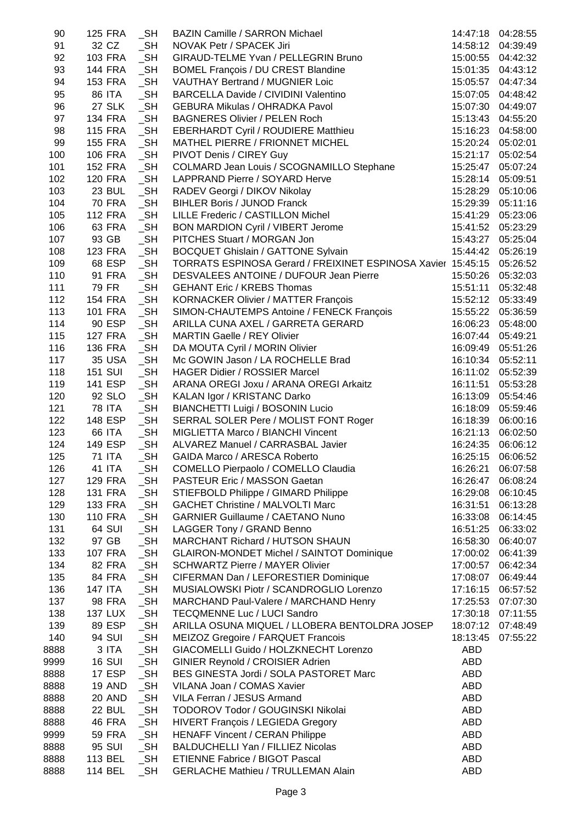| 90   | 125 FRA        | $\_SH$    | <b>BAZIN Camille / SARRON Michael</b>                                 | 14:47:18          | 04:28:55          |
|------|----------------|-----------|-----------------------------------------------------------------------|-------------------|-------------------|
| 91   | 32 CZ          | $\_SH$    | NOVAK Petr / SPACEK Jiri                                              |                   | 14:58:12 04:39:49 |
| 92   | <b>103 FRA</b> | $\_SH$    | GIRAUD-TELME Yvan / PELLEGRIN Bruno                                   |                   | 15:00:55 04:42:32 |
| 93   | 144 FRA        | $\_SH$    | <b>BOMEL François / DU CREST Blandine</b>                             |                   | 15:01:35 04:43:12 |
| 94   | 153 FRA        | $\_SH$    | <b>VAUTHAY Bertrand / MUGNIER Loic</b>                                |                   | 15:05:57 04:47:34 |
| 95   | 86 ITA         | $\_SH$    | BARCELLA Davide / CIVIDINI Valentino                                  |                   | 15:07:05 04:48:42 |
| 96   | 27 SLK         | $\_SH$    | <b>GEBURA Mikulas / OHRADKA Pavol</b>                                 |                   | 15:07:30 04:49:07 |
| 97   | 134 FRA        | $\_SH$    | <b>BAGNERES Olivier / PELEN Roch</b>                                  |                   | 15:13:43 04:55:20 |
| 98   | 115 FRA        | $\_SH$    | <b>EBERHARDT Cyril / ROUDIERE Matthieu</b>                            |                   | 15:16:23 04:58:00 |
| 99   | <b>155 FRA</b> | $\_SH$    | MATHEL PIERRE / FRIONNET MICHEL                                       | 15:20:24 05:02:01 |                   |
| 100  | 106 FRA        | $\_SH$    | PIVOT Denis / CIREY Guy                                               |                   | 15:21:17 05:02:54 |
| 101  | <b>152 FRA</b> | $\_SH$    | COLMARD Jean Louis / SCOGNAMILLO Stephane                             |                   | 15:25:47 05:07:24 |
| 102  | 120 FRA        | $\_SH$    | LAPPRAND Pierre / SOYARD Herve                                        | 15:28:14 05:09:51 |                   |
| 103  | 23 BUL         | $\_SH$    | RADEV Georgi / DIKOV Nikolay                                          |                   | 15:28:29 05:10:06 |
| 104  | 70 FRA         | $\_SH$    | <b>BIHLER Boris / JUNOD Franck</b>                                    |                   | 15:29:39 05:11:16 |
| 105  | <b>112 FRA</b> | $\_SH$    | LILLE Frederic / CASTILLON Michel                                     | 15:41:29 05:23:06 |                   |
| 106  | 63 FRA         | $\_SH$    | BON MARDION Cyril / VIBERT Jerome                                     | 15:41:52 05:23:29 |                   |
| 107  | 93 GB          | $\_SH$    | PITCHES Stuart / MORGAN Jon                                           | 15:43:27 05:25:04 |                   |
| 108  | 123 FRA        | $\_SH$    | <b>BOCQUET Ghislain / GATTONE Sylvain</b>                             | 15:44:42 05:26:19 |                   |
| 109  | 68 ESP         | $\_SH$    | TORRATS ESPINOSA Gerard / FREIXINET ESPINOSA Xavier 15:45:15 05:26:52 |                   |                   |
| 110  | 91 FRA         | $\_SH$    | DESVALEES ANTOINE / DUFOUR Jean Pierre                                | 15:50:26 05:32:03 |                   |
| 111  | 79 FR          | $\_SH$    | <b>GEHANT Eric / KREBS Thomas</b>                                     | 15:51:11          | 05:32:48          |
| 112  | 154 FRA        | $\_SH$    | <b>KORNACKER Olivier / MATTER François</b>                            | 15:52:12 05:33:49 |                   |
| 113  | 101 FRA        | $\_SH$    | SIMON-CHAUTEMPS Antoine / FENECK François                             |                   |                   |
|      |                |           |                                                                       | 15:55:22 05:36:59 |                   |
| 114  | 90 ESP         | $\_SH$    | ARILLA CUNA AXEL / GARRETA GERARD                                     |                   | 16:06:23 05:48:00 |
| 115  | 127 FRA        | $\_SH$    | <b>MARTIN Gaelle / REY Olivier</b>                                    | 16:07:44 05:49:21 |                   |
| 116  | 136 FRA        | $\_SH$    | DA MOUTA Cyril / MORIN Olivier                                        |                   | 16:09:49 05:51:26 |
| 117  | 35 USA         | $\_SH$    | Mc GOWIN Jason / LA ROCHELLE Brad                                     | 16:10:34 05:52:11 |                   |
| 118  | <b>151 SUI</b> | $\_SH$    | <b>HAGER Didier / ROSSIER Marcel</b>                                  | 16:11:02 05:52:39 |                   |
| 119  | 141 ESP        | $\_SH$    | ARANA OREGI Joxu / ARANA OREGI Arkaitz                                |                   | 16:11:51 05:53:28 |
| 120  | 92 SLO         | $\_SH$    | KALAN Igor / KRISTANC Darko                                           |                   | 16:13:09 05:54:46 |
| 121  | 78 ITA         | $\_SH$    | BIANCHETTI Luigi / BOSONIN Lucio                                      |                   | 16:18:09 05:59:46 |
| 122  | 148 ESP        | $\_SH$    | SERRAL SOLER Pere / MOLIST FONT Roger                                 |                   | 16:18:39 06:00:16 |
| 123  | 66 ITA         | $\_SH$    | MIGLIETTA Marco / BIANCHI Vincent                                     |                   | 16:21:13 06:02:50 |
| 124  | 149 ESP        | $\_SH$    | ALVAREZ Manuel / CARRASBAL Javier                                     |                   | 16:24:35 06:06:12 |
| 125  | 71 ITA         | $\_SH$    | GAIDA Marco / ARESCA Roberto                                          |                   | 16:25:15 06:06:52 |
| 126  | 41 ITA         | $\_SH$    | COMELLO Pierpaolo / COMELLO Claudia                                   |                   | 16:26:21 06:07:58 |
| 127  | 129 FRA        | $\_SH$    | PASTEUR Eric / MASSON Gaetan                                          | 16:26:47          | 06:08:24          |
| 128  | <b>131 FRA</b> | $\_SH$    | STIEFBOLD Philippe / GIMARD Philippe                                  | 16:29:08          | 06:10:45          |
| 129  | 133 FRA        | $\_SH$    | <b>GACHET Christine / MALVOLTI Marc</b>                               | 16:31:51          | 06:13:28          |
| 130  | 110 FRA        | <b>SH</b> | <b>GARNIER Guillaume / CAETANO Nuno</b>                               | 16:33:08          | 06:14:45          |
| 131  | 64 SUI         | $\_SH$    | LAGGER Tony / GRAND Benno                                             | 16:51:25          | 06:33:02          |
| 132  | 97 GB          | $\_SH$    | MARCHANT Richard / HUTSON SHAUN                                       | 16:58:30          | 06:40:07          |
| 133  | <b>107 FRA</b> | $\_SH$    | <b>GLAIRON-MONDET Michel / SAINTOT Dominique</b>                      | 17:00:02          | 06:41:39          |
| 134  | 82 FRA         | $\_SH$    | <b>SCHWARTZ Pierre / MAYER Olivier</b>                                | 17:00:57          | 06:42:34          |
| 135  | 84 FRA         | $\_SH$    | CIFERMAN Dan / LEFORESTIER Dominique                                  | 17:08:07          | 06:49:44          |
| 136  | 147 ITA        | $\_SH$    | MUSIALOWSKI Piotr / SCANDROGLIO Lorenzo                               | 17:16:15          | 06:57:52          |
| 137  | 98 FRA         | $\_SH$    | MARCHAND Paul-Valere / MARCHAND Henry                                 |                   | 17:25:53 07:07:30 |
| 138  | <b>137 LUX</b> | $\_SH$    | <b>TECQMENNE Luc / LUCI Sandro</b>                                    | 17:30:18          | 07:11:55          |
| 139  | 89 ESP         | $\_SH$    | ARILLA OSUNA MIQUEL / LLOBERA BENTOLDRA JOSEP                         |                   | 18:07:12 07:48:49 |
| 140  | 94 SUI         | $\_SH$    | MEIZOZ Gregoire / FARQUET Francois                                    | 18:13:45          | 07:55:22          |
| 8888 | 3 ITA          | $\_SH$    | GIACOMELLI Guido / HOLZKNECHT Lorenzo                                 | ABD               |                   |
| 9999 | <b>16 SUI</b>  | $\_SH$    | GINIER Reynold / CROISIER Adrien                                      | ABD               |                   |
| 8888 | 17 ESP         | $\_SH$    | BES GINESTA Jordi / SOLA PASTORET Marc                                | <b>ABD</b>        |                   |
| 8888 | <b>19 AND</b>  | $\_SH$    | VILANA Joan / COMAS Xavier                                            | <b>ABD</b>        |                   |
| 8888 | 20 AND         | $\_SH$    | VILA Ferran / JESUS Armand                                            | ABD               |                   |
| 8888 | <b>22 BUL</b>  | $\_SH$    | TODOROV Todor / GOUGINSKI Nikolai                                     | <b>ABD</b>        |                   |
| 8888 | 46 FRA         | $\_SH$    | <b>HIVERT François / LEGIEDA Gregory</b>                              | ABD               |                   |
| 9999 | <b>59 FRA</b>  | $\_SH$    | <b>HENAFF Vincent / CERAN Philippe</b>                                | ABD               |                   |
| 8888 | 95 SUI         | $\_SH$    | BALDUCHELLI Yan / FILLIEZ Nicolas                                     | ABD               |                   |
| 8888 | 113 BEL        | $\_SH$    | <b>ETIENNE Fabrice / BIGOT Pascal</b>                                 | ABD               |                   |
| 8888 | 114 BEL        | _SH       | <b>GERLACHE Mathieu / TRULLEMAN Alain</b>                             | ABD               |                   |